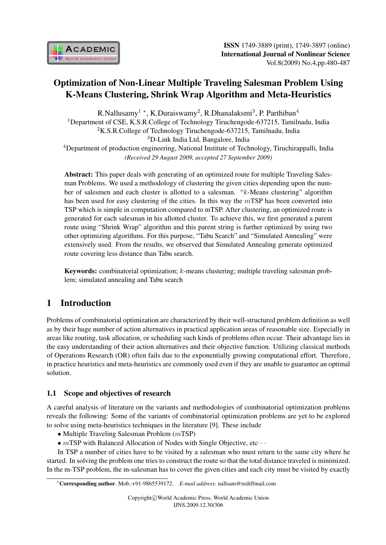

# Optimization of Non-Linear Multiple Traveling Salesman Problem Using K-Means Clustering, Shrink Wrap Algorithm and Meta-Heuristics

R.Nallusamy<sup>1</sup> \*, K.Duraiswamy<sup>2</sup>, R.Dhanalaksmi<sup>3</sup>, P. Parthiban<sup>4</sup> <sup>1</sup>Department of CSE, K.S.R.College of Technology Tiruchengode-637215, Tamilnadu, India <sup>2</sup>K.S.R.College of Technology Tiruchengode-637215, Tamilnadu, India <sup>3</sup>D-Link India Ltd, Bangalore, India  $4$ Department of production engineering, National Institute of Technology, Tiruchirappalli, India *(Received 29 August 2009, accepted 27 September 2009)*

Abstract: This paper deals with generating of an optimized route for multiple Traveling Salesman Problems. We used a methodology of clustering the given cities depending upon the number of salesmen and each cluster is allotted to a salesman. " $k$ -Means clustering" algorithm has been used for easy clustering of the cities. In this way the  $m$ TSP has been converted into TSP which is simple in computation compared to mTSP. After clustering, an optimized route is generated for each salesman in his allotted cluster. To achieve this, we first generated a parent route using "Shrink Wrap" algorithm and this parent string is further optimized by using two other optimizing algorithms. For this purpose, "Tabu Search" and "Simulated Annealing" were extensively used. From the results, we observed that Simulated Annealing generate optimized route covering less distance than Tabu search.

**Keywords:** combinatorial optimization;  $k$ -means clustering; multiple traveling salesman problem; simulated annealing and Tabu search

# 1 Introduction

Problems of combinatorial optimization are characterized by their well-structured problem definition as well as by their huge number of action alternatives in practical application areas of reasonable size. Especially in areas like routing, task allocation, or scheduling such kinds of problems often occur. Their advantage lies in the easy understanding of their action alternatives and their objective function. Utilizing classical methods of Operations Research (OR) often fails due to the exponentially growing computational effort. Therefore, in practice heuristics and meta-heuristics are commonly used even if they are unable to guarantee an optimal solution.

## 1.1 Scope and objectives of research

A careful analysis of literature on the variants and methodologies of combinatorial optimization problems reveals the following: Some of the variants of combinatorial optimization problems are yet to be explored to solve using meta-heuristics techniques in the literature [9]. These include

*•* Multiple Traveling Salesman Problem (*m*TSP)

*∙* TSP with Balanced Allocation of Nodes with Single Objective, etc*⋅ ⋅ ⋅*

In TSP a number of cities have to be visited by a salesman who must return to the same city where he started. In solving the problem one tries to construct the route so that the total distance traveled is minimized. In the m-TSP problem, the m-salesman has to cover the given cities and each city must be visited by exactly

*<sup>∗</sup>*Corresponding author. Mob.:+91-9865539172. *E-mail address*: nallsam@rediffmail.com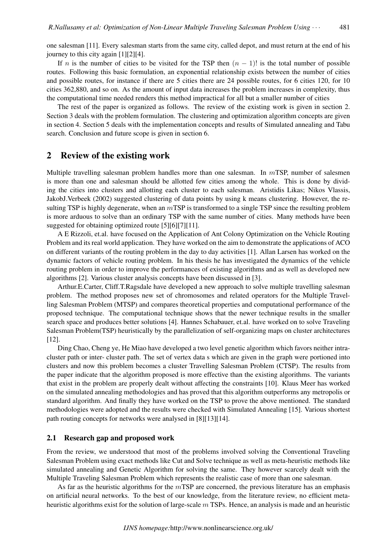one salesman [11]. Every salesman starts from the same city, called depot, and must return at the end of his journey to this city again [1][2][4].

If *n* is the number of cities to be visited for the TSP then  $(n - 1)!$  is the total number of possible routes. Following this basic formulation, an exponential relationship exists between the number of cities and possible routes, for instance if there are 5 cities there are 24 possible routes, for 6 cities 120, for 10 cities 362,880, and so on. As the amount of input data increases the problem increases in complexity, thus the computational time needed renders this method impractical for all but a smaller number of cities

The rest of the paper is organized as follows. The review of the existing work is given in section 2. Section 3 deals with the problem formulation. The clustering and optimization algorithm concepts are given in section 4. Section 5 deals with the implementation concepts and results of Simulated annealing and Tabu search. Conclusion and future scope is given in section 6.

### 2 Review of the existing work

Multiple travelling salesman problem handles more than one salesman. In  $m$ TSP, number of salesmen is more than one and salesman should be allotted few cities among the whole. This is done by dividing the cities into clusters and allotting each cluster to each salesman. Aristidis Likas; Nikos Vlassis, JakobJ.Verbeek (2002) suggested clustering of data points by using k means clustering. However, the resulting TSP is highly degenerate, when an  $m$ TSP is transformed to a single TSP since the resulting problem is more arduous to solve than an ordinary TSP with the same number of cities. Many methods have been suggested for obtaining optimized route [5][6][7][11].

A E Rizzoli, et.al. have focused on the Application of Ant Colony Optimization on the Vehicle Routing Problem and its real world application. They have worked on the aim to demonstrate the applications of ACO on different variants of the routing problem in the day to day activities [1]. Allan Larsen has worked on the dynamic factors of vehicle routing problem. In his thesis he has investigated the dynamics of the vehicle routing problem in order to improve the performances of existing algorithms and as well as developed new algorithms [2]. Various cluster analysis concepts have been discussed in [3].

Arthur.E.Carter, Cliff.T.Ragsdale have developed a new approach to solve multiple travelling salesman problem. The method proposes new set of chromosomes and related operators for the Multiple Travelling Salesman Problem (MTSP) and compares theoretical properties and computational performance of the proposed technique. The computational technique shows that the newer technique results in the smaller search space and produces better solutions [4]. Hannes Schabauer, et.al. have worked on to solve Traveling Salesman Problem(TSP) heuristically by the parallelization of self-organizing maps on cluster architectures [12].

Ding Chao, Cheng ye, He Miao have developed a two level genetic algorithm which favors neither intracluster path or inter- cluster path. The set of vertex data s which are given in the graph were portioned into clusters and now this problem becomes a cluster Travelling Salesman Problem (CTSP). The results from the paper indicate that the algorithm proposed is more effective than the existing algorithms. The variants that exist in the problem are properly dealt without affecting the constraints [10]. Klaus Meer has worked on the simulated annealing methodologies and has proved that this algorithm outperforms any metropolis or standard algorithm. And finally they have worked on the TSP to prove the above mentioned. The standard methodologies were adopted and the results were checked with Simulated Annealing [15]. Various shortest path routing concepts for networks were analysed in [8][13][14].

#### 2.1 Research gap and proposed work

From the review, we understood that most of the problems involved solving the Conventional Traveling Salesman Problem using exact methods like Cut and Solve technique as well as meta-heuristic methods like simulated annealing and Genetic Algorithm for solving the same. They however scarcely dealt with the Multiple Traveling Salesman Problem which represents the realistic case of more than one salesman.

As far as the heuristic algorithms for the  $m$ TSP are concerned, the previous literature has an emphasis on artificial neural networks. To the best of our knowledge, from the literature review, no efficient metaheuristic algorithms exist for the solution of large-scale  $m$  TSPs. Hence, an analysis is made and an heuristic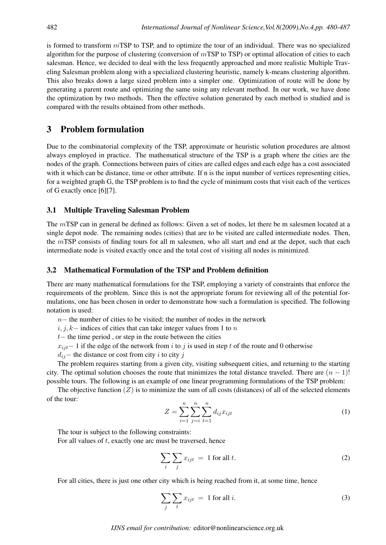is formed to transform  $m$  TSP to TSP, and to optimize the tour of an individual. There was no specialized algorithm for the purpose of clustering (conversion of  $m$ TSP to TSP) or optimal allocation of cities to each salesman. Hence, we decided to deal with the less frequently approached and more realistic Multiple Traveling Salesman problem along with a specialized clustering heuristic, namely k-means clustering algorithm. This also breaks down a large sized problem into a simpler one. Optimization of route will be done by generating a parent route and optimizing the same using any relevant method. In our work, we have done the optimization by two methods. Then the effective solution generated by each method is studied and is compared with the results obtained from other methods.

## 3 Problem formulation

Due to the combinatorial complexity of the TSP, approximate or heuristic solution procedures are almost always employed in practice. The mathematical structure of the TSP is a graph where the cities are the nodes of the graph. Connections between pairs of cities are called edges and each edge has a cost associated with it which can be distance, time or other attribute. If n is the input number of vertices representing cities, for a weighted graph G, the TSP problem is to find the cycle of minimum costs that visit each of the vertices of G exactly once [6][7].

### 3.1 Multiple Traveling Salesman Problem

The *m*TSP can in general be defined as follows: Given a set of nodes, let there be m salesmen located at a single depot node. The remaining nodes (cities) that are to be visited are called intermediate nodes. Then, the  $m$ TSP consists of finding tours for all m salesmen, who all start and end at the depot, such that each intermediate node is visited exactly once and the total cost of visiting all nodes is minimized.

#### 3.2 Mathematical Formulation of the TSP and Problem definition

There are many mathematical formulations for the TSP, employing a variety of constraints that enforce the requirements of the problem. Since this is not the appropriate forum for reviewing all of the potential formulations, one has been chosen in order to demonstrate how such a formulation is specified. The following notation is used:

*n* − the number of cities to be visited; the number of nodes in the network

 $i, j, k-$  indices of cities that can take integer values from 1 to n

*t* − the time period, or step in the route between the cities

 $x_{ijt}$  − 1 if the edge of the network from *i* to *j* is used in step *t* of the route and 0 otherwise

 $d_{ij}$ − the distance or cost from city *i* to city *j* 

The problem requires starting from a given city, visiting subsequent cities, and returning to the starting city. The optimal solution chooses the route that minimizes the total distance traveled. There are  $(n-1)!$ possible tours. The following is an example of one linear programming formulations of the TSP problem:

The objective function  $(Z)$  is to minimize the sum of all costs (distances) of all of the selected elements of the tour:

$$
Z = \sum_{i=1}^{n} \sum_{j=i}^{n} \sum_{t=1}^{n} d_{ij} x_{ijt}
$$
 (1)

The tour is subject to the following constraints:

For all values of  $t$ , exactly one arc must be traversed, hence

$$
\sum_{i} \sum_{j} x_{ijt} = 1 \text{ for all } t. \tag{2}
$$

For all cities, there is just one other city which is being reached from it, at some time, hence

$$
\sum_{j} \sum_{t} x_{ijt} = 1 \text{ for all } i. \tag{3}
$$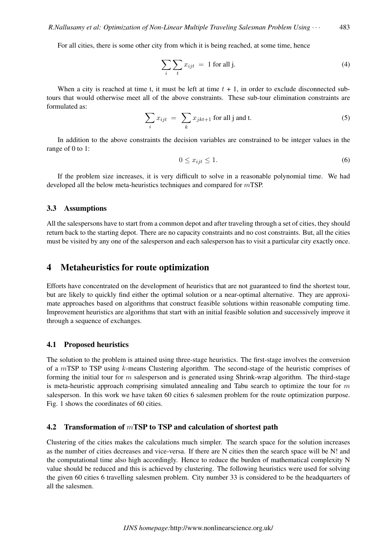For all cities, there is some other city from which it is being reached, at some time, hence

$$
\sum_{i} \sum_{t} x_{ijt} = 1 \text{ for all } j.
$$
 (4)

When a city is reached at time t, it must be left at time  $t + 1$ , in order to exclude disconnected subtours that would otherwise meet all of the above constraints. These sub-tour elimination constraints are formulated as:

$$
\sum_{i} x_{ijt} = \sum_{k} x_{jkt+1} \text{ for all } j \text{ and } t. \tag{5}
$$

In addition to the above constraints the decision variables are constrained to be integer values in the range of 0 to 1:

$$
0 \le x_{ijt} \le 1. \tag{6}
$$

If the problem size increases, it is very difficult to solve in a reasonable polynomial time. We had developed all the below meta-heuristics techniques and compared for  $m$ TSP.

#### 3.3 Assumptions

All the salespersons have to start from a common depot and after traveling through a set of cities, they should return back to the starting depot. There are no capacity constraints and no cost constraints. But, all the cities must be visited by any one of the salesperson and each salesperson has to visit a particular city exactly once.

### 4 Metaheuristics for route optimization

Efforts have concentrated on the development of heuristics that are not guaranteed to find the shortest tour, but are likely to quickly find either the optimal solution or a near-optimal alternative. They are approximate approaches based on algorithms that construct feasible solutions within reasonable computing time. Improvement heuristics are algorithms that start with an initial feasible solution and successively improve it through a sequence of exchanges.

#### 4.1 Proposed heuristics

The solution to the problem is attained using three-stage heuristics. The first-stage involves the conversion of a  $m$ TSP to TSP using  $k$ -means Clustering algorithm. The second-stage of the heuristic comprises of forming the initial tour for  $m$  salesperson and is generated using Shrink-wrap algorithm. The third-stage is meta-heuristic approach comprising simulated annealing and Tabu search to optimize the tour for  $m$ salesperson. In this work we have taken 60 cities 6 salesmen problem for the route optimization purpose. Fig. 1 shows the coordinates of 60 cities.

#### 4.2 Transformation of  $m$ TSP to TSP and calculation of shortest path

Clustering of the cities makes the calculations much simpler. The search space for the solution increases as the number of cities decreases and vice-versa. If there are N cities then the search space will be N! and the computational time also high accordingly. Hence to reduce the burden of mathematical complexity N value should be reduced and this is achieved by clustering. The following heuristics were used for solving the given 60 cities 6 travelling salesmen problem. City number 33 is considered to be the headquarters of all the salesmen.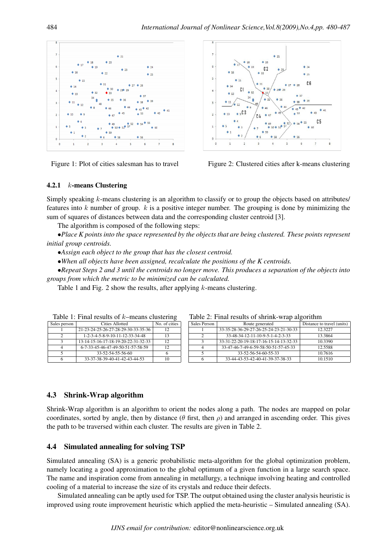



Figure 1: Plot of cities salesman has to travel Figure 2: Clustered cities after k-means clustering

### 4.2.1  $k$ -means Clustering

Simply speaking  $k$ -means clustering is an algorithm to classify or to group the objects based on attributes/ features into  $k$  number of group.  $k$  is a positive integer number. The grouping is done by minimizing the sum of squares of distances between data and the corresponding cluster centroid [3].

The algorithm is composed of the following steps:

*∙Place K points into the space represented by the objects that are being clustered. These points represent initial group centroids.*

*∙Assign each object to the group that has the closest centroid.*

*∙When all objects have been assigned, recalculate the positions of the K centroids.*

*∙Repeat Steps 2 and 3 until the centroids no longer move. This produces a separation of the objects into groups from which the metric to be minimized can be calculated.*

Table 1 and Fig. 2 show the results, after applying  $k$ -means clustering.

| Sales person | Cities Allotted                                           |     |
|--------------|-----------------------------------------------------------|-----|
|              | 21-23-24-25-26-27-28-29-30-33-35-36                       | 12  |
|              | $1 - 2 - 3 - 4 - 5 - 8 - 9 - 10 - 11 - 12 - 33 - 34 - 48$ | 13  |
|              | 13-14-15-16-17-18-19-20-22-31-32-33                       | 12. |
|              | 6-7-33-45-46-47-49-50-51-57-58-59                         | 12  |
|              | 33-52-54-55-56-60                                         |     |
|              | 33-37-38-39-40-41-42-43-44-53                             | ۱0  |

Table 1: Final results of  $k$ -means clustering

| $1000$ $\mu$ , I mai results of silema wide digentemi |                                        |                            |  |  |
|-------------------------------------------------------|----------------------------------------|----------------------------|--|--|
| Sales Person                                          | Route generated                        | Distance to travel (units) |  |  |
|                                                       | 33-35-28-36-29-27-26-25-24-23-21-30-33 | 12.3227                    |  |  |
|                                                       | 33-48-34-12-11-10-9-5-1-4-2-3-33       | 13.3864                    |  |  |
|                                                       | 33-31-22-20-19-18-17-16-15-14-13-32-33 | 10.3390                    |  |  |
|                                                       | 33-47-46-7-49-6-59-58-50-51-57-45-33   | 12.5588                    |  |  |
|                                                       | 33-52-56-54-60-55-33                   | 10.7616                    |  |  |
|                                                       | 33-44-43-53-42-40-41-39-37-38-33       | 10 1510                    |  |  |

Table  $2^{\circ}$  Final results of shrink-wrap algorithm

### 4.3 Shrink-Wrap algorithm

Shrink-Wrap algorithm is an algorithm to orient the nodes along a path. The nodes are mapped on polar coordinates, sorted by angle, then by distance ( $\theta$  first, then  $\rho$ ) and arranged in ascending order. This gives the path to be traversed within each cluster. The results are given in Table 2.

### 4.4 Simulated annealing for solving TSP

Simulated annealing (SA) is a generic probabilistic meta-algorithm for the global optimization problem, namely locating a good approximation to the global optimum of a given function in a large search space. The name and inspiration come from annealing in metallurgy, a technique involving heating and controlled cooling of a material to increase the size of its crystals and reduce their defects.

Simulated annealing can be aptly used for TSP. The output obtained using the cluster analysis heuristic is improved using route improvement heuristic which applied the meta-heuristic – Simulated annealing (SA).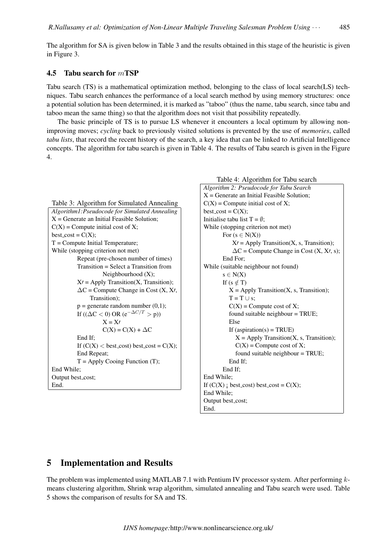The algorithm for SA is given below in Table 3 and the results obtained in this stage of the heuristic is given in Figure 3.

#### 4.5 Tabu search for  $m$ **TSP**

Tabu search (TS) is a mathematical optimization method, belonging to the class of local search(LS) techniques. Tabu search enhances the performance of a local search method by using memory structures: once a potential solution has been determined, it is marked as "taboo" (thus the name, tabu search, since tabu and taboo mean the same thing) so that the algorithm does not visit that possibility repeatedly.

The basic principle of TS is to pursue LS whenever it encounters a local optimum by allowing nonimproving moves; *cycling* back to previously visited solutions is prevented by the use of *memories*, called *tabu lists*, that record the recent history of the search, a key idea that can be linked to Artificial Intelligence concepts. The algorithm for tabu search is given in Table 4. The results of Tabu search is given in the Figure 4.

```
Table 3: Algorithm for Simulated Annealing
Algorithm1:Pseudocode for Simulated Annealing
X = Generate an Initial Feasible Solution;
C(X) = Compute initial cost of X;
best\_cost = C(X);T = Compute Initial Temperature;
While (stopping criterion not met)
         Repeat (pre-chosen number of times)
         Transition = Select a Transition from
                   Neighbourhood (X);
         X′ = Apply Transition(X, Transition);
          ΔC = Compute Change in Cost (X, X′,
              Transition);
         p = generate random number (0,1);
         If ((\Delta C < 0) OR (e^{-\Delta C/T} > p))
                   X = X′
                   C(X) = C(X) + \Delta CEnd If;
         If (C(X) < \text{best-cost}) best_cost = C(X);
          End Repeat;
         T = Apply Cooing Function (T);End While;
Output best_cost;
End.
```

```
Table 4: Algorithm for Tabu search
Algorithm 2: Pseudocode for Tabu Search
X = Generate an Initial Feasible Solution;
C(X) = Compute initial cost of X;
best\_cost = C(X);Initialise tabu list T = \emptyset;
While (stopping criterion not met)
       For (s \in N(X))X′ = Apply Transition(X, s, Transition);
           ΔC = Compute Change in Cost (X, X′, s);
       End For;
While (suitable neighbour not found)
       s ∈ N(X)
       If (s \notin T)X = Apply Transition(X, s, Transition);T = T ∪ s;
         C(X) = Compute cost of X;
          found suitable neighbour = TRUE;
         Else
         If (aspiration(s) = TRUE)
            X = Apply Transition(X, s, Transition);C(X) = Compute cost of X;
            found suitable neighbour = TRUE;
         End If;
       End If;
End While;
If (C(X) ; best cost) best cost = C(X);
End While;
Output best_cost;
End.
```
## 5 Implementation and Results

The problem was implemented using MATLAB 7.1 with Pentium IV processor system. After performing  $k$ means clustering algorithm, Shrink wrap algorithm, simulated annealing and Tabu search were used. Table 5 shows the comparison of results for SA and TS.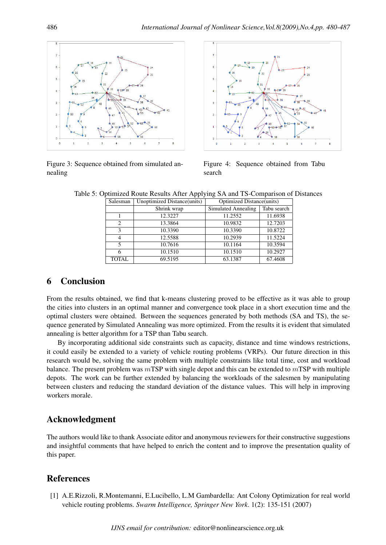

Figure 3: Sequence obtained from simulated annealing



Figure 4: Sequence obtained from Tabu search

| Salesman       | Unoptimized Distance(units) | <b>Optimized Distance (units)</b> |             |
|----------------|-----------------------------|-----------------------------------|-------------|
|                | Shrink wrap                 | Simulated Annealing               | Tabu search |
|                | 12.3227                     | 11.2552                           | 11.6938     |
| $\mathcal{D}$  | 13.3864                     | 10.9832                           | 12.7203     |
| $\mathbf{3}$   | 10.3390                     | 10.3390                           | 10.8722     |
| 4              | 12.5588                     | 10.2939                           | 11.5224     |
| $\overline{5}$ | 10.7616                     | 10.1164                           | 10.3594     |
|                | 10.1510                     | 10.1510                           | 10.2927     |
| <b>TOTAL</b>   | 69.5195                     | 63.1387                           | 67.4608     |

Table 5: Optimized Route Results After Applying SA and TS-Comparison of Distances

## 6 Conclusion

From the results obtained, we find that k-means clustering proved to be effective as it was able to group the cities into clusters in an optimal manner and convergence took place in a short execution time and the optimal clusters were obtained. Between the sequences generated by both methods (SA and TS), the sequence generated by Simulated Annealing was more optimized. From the results it is evident that simulated annealing is better algorithm for a TSP than Tabu search.

By incorporating additional side constraints such as capacity, distance and time windows restrictions, it could easily be extended to a variety of vehicle routing problems (VRPs). Our future direction in this research would be, solving the same problem with multiple constraints like total time, cost and workload balance. The present problem was  $m$ TSP with single depot and this can be extended to  $m$ TSP with multiple depots. The work can be further extended by balancing the workloads of the salesmen by manipulating between clusters and reducing the standard deviation of the distance values. This will help in improving workers morale.

## Acknowledgment

The authors would like to thank Associate editor and anonymous reviewers for their constructive suggestions and insightful comments that have helped to enrich the content and to improve the presentation quality of this paper.

## References

[1] A.E.Rizzoli, R.Montemanni, E.Lucibello, L.M Gambardella: Ant Colony Optimization for real world vehicle routing problems. *Swarm Intelligence, Springer New York*. 1(2): 135-151 (2007)